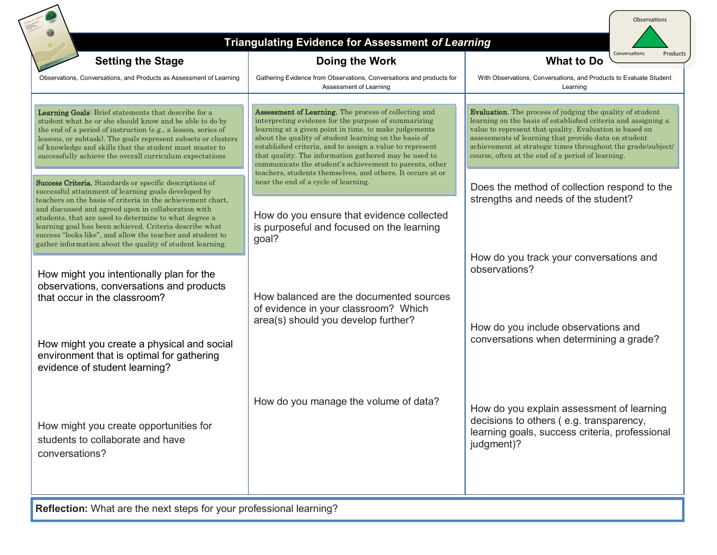| <b>Triangulating Evidence for Assessment of Learning</b><br>Conversations<br>Products                                                                                                                                                                                                                                                                                                                                                                                                |                                                                                                                                                                                                                                                                                                                                                                                                                                                                                                                                                                                                                          |                                                                                                                                                                                                                                                                                                                                                                            |
|--------------------------------------------------------------------------------------------------------------------------------------------------------------------------------------------------------------------------------------------------------------------------------------------------------------------------------------------------------------------------------------------------------------------------------------------------------------------------------------|--------------------------------------------------------------------------------------------------------------------------------------------------------------------------------------------------------------------------------------------------------------------------------------------------------------------------------------------------------------------------------------------------------------------------------------------------------------------------------------------------------------------------------------------------------------------------------------------------------------------------|----------------------------------------------------------------------------------------------------------------------------------------------------------------------------------------------------------------------------------------------------------------------------------------------------------------------------------------------------------------------------|
| <b>Setting the Stage</b>                                                                                                                                                                                                                                                                                                                                                                                                                                                             | Doing the Work                                                                                                                                                                                                                                                                                                                                                                                                                                                                                                                                                                                                           | <b>What to Do</b>                                                                                                                                                                                                                                                                                                                                                          |
| Observations, Conversations, and Products as Assessment of Learning                                                                                                                                                                                                                                                                                                                                                                                                                  | Gathering Evidence from Observations, Conversations and products for<br>Assessment of Learning                                                                                                                                                                                                                                                                                                                                                                                                                                                                                                                           | With Observations, Conversations, and Products to Evaluate Student<br>Learning                                                                                                                                                                                                                                                                                             |
| Learning Goals: Brief statements that describe for a<br>student what he or she should know and be able to do by<br>the end of a period of instruction (e.g., a lesson, series of<br>lessons, or subtask). The goals represent subsets or clusters<br>of knowledge and skills that the student must master to<br>successfully achieve the overall curriculum expectations.                                                                                                            | Assessment of Learning. The process of collecting and<br>interpreting evidence for the purpose of summarizing<br>learning at a given point in time, to make judgements<br>about the quality of student learning on the basis of<br>established criteria, and to assign a value to represent<br>that quality. The information gathered may be used to<br>communicate the student's achievement to parents, other<br>teachers, students themselves, and others. It occurs at or<br>near the end of a cycle of learning.<br>How do you ensure that evidence collected<br>is purposeful and focused on the learning<br>goal? | <b>Evaluation</b> . The process of judging the quality of student<br>learning on the basis of established criteria and assigning a<br>value to represent that quality. Evaluation is based on<br>assessments of learning that provide data on student<br>achievement at strategic times throughout the grade/subject/<br>course, often at the end of a period of learning. |
| Success Criteria. Standards or specific descriptions of<br>successful attainment of learning goals developed by<br>teachers on the basis of criteria in the achievement chart,<br>and discussed and agreed upon in collaboration with<br>students, that are used to determine to what degree a<br>learning goal has been achieved. Criteria describe what<br>success "looks like", and allow the teacher and student to<br>gather information about the quality of student learning. |                                                                                                                                                                                                                                                                                                                                                                                                                                                                                                                                                                                                                          | Does the method of collection respond to the<br>strengths and needs of the student?                                                                                                                                                                                                                                                                                        |
| How might you intentionally plan for the<br>observations, conversations and products<br>that occur in the classroom?                                                                                                                                                                                                                                                                                                                                                                 | How balanced are the documented sources                                                                                                                                                                                                                                                                                                                                                                                                                                                                                                                                                                                  | How do you track your conversations and<br>observations?                                                                                                                                                                                                                                                                                                                   |
| How might you create a physical and social<br>environment that is optimal for gathering<br>evidence of student learning?                                                                                                                                                                                                                                                                                                                                                             | of evidence in your classroom? Which<br>area(s) should you develop further?                                                                                                                                                                                                                                                                                                                                                                                                                                                                                                                                              | How do you include observations and<br>conversations when determining a grade?                                                                                                                                                                                                                                                                                             |
| How might you create opportunities for<br>students to collaborate and have<br>conversations?                                                                                                                                                                                                                                                                                                                                                                                         | How do you manage the volume of data?                                                                                                                                                                                                                                                                                                                                                                                                                                                                                                                                                                                    | How do you explain assessment of learning<br>decisions to others (e.g. transparency,<br>learning goals, success criteria, professional<br>judgment)?                                                                                                                                                                                                                       |

**Reflection:** What are the next steps for your professional learning?